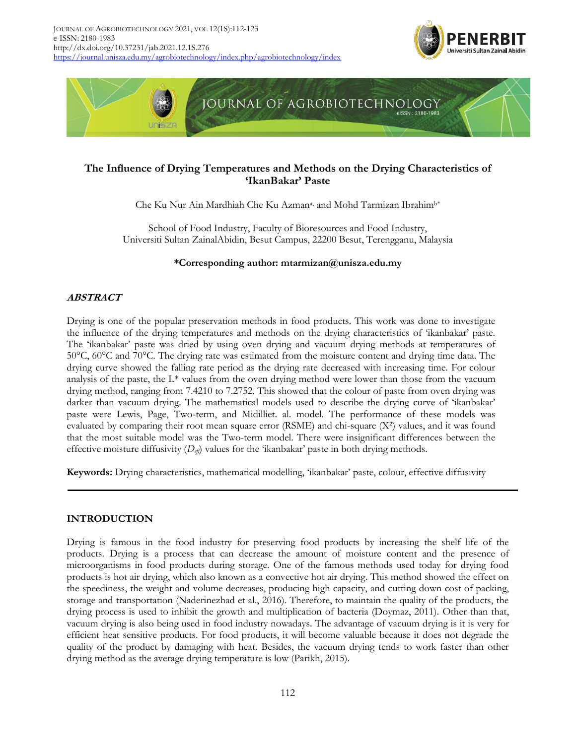



# **The Influence of Drying Temperatures and Methods on the Drying Characteristics of 'IkanBakar' Paste**

Che Ku Nur Ain Mardhiah Che Ku Azmana, and Mohd Tarmizan Ibrahimb\*

School of Food Industry, Faculty of Bioresources and Food Industry, Universiti Sultan ZainalAbidin, Besut Campus, 22200 Besut, Terengganu, Malaysia

### **\*Corresponding author: mtarmizan@unisza.edu.my**

# **ABSTRACT**

Drying is one of the popular preservation methods in food products. This work was done to investigate the influence of the drying temperatures and methods on the drying characteristics of 'ikanbakar' paste. The 'ikanbakar' paste was dried by using oven drying and vacuum drying methods at temperatures of 50°C, 60°C and 70°C. The drying rate was estimated from the moisture content and drying time data. The drying curve showed the falling rate period as the drying rate decreased with increasing time. For colour analysis of the paste, the  $L^*$  values from the oven drying method were lower than those from the vacuum drying method, ranging from 7.4210 to 7.2752. This showed that the colour of paste from oven drying was darker than vacuum drying. The mathematical models used to describe the drying curve of 'ikanbakar' paste were Lewis, Page, Two-term, and Midilliet. al. model. The performance of these models was evaluated by comparing their root mean square error (RSME) and chi-square  $(X^2)$  values, and it was found that the most suitable model was the Two-term model. There were insignificant differences between the effective moisture diffusivity (*Deff*) values for the 'ikanbakar' paste in both drying methods.

**Keywords:** Drying characteristics, mathematical modelling, 'ikanbakar' paste, colour, effective diffusivity

## **INTRODUCTION**

Drying is famous in the food industry for preserving food products by increasing the shelf life of the products. Drying is a process that can decrease the amount of moisture content and the presence of microorganisms in food products during storage. One of the famous methods used today for drying food products is hot air drying, which also known as a convective hot air drying. This method showed the effect on the speediness, the weight and volume decreases, producing high capacity, and cutting down cost of packing, storage and transportation (Naderinezhad et al., 2016). Therefore, to maintain the quality of the products, the drying process is used to inhibit the growth and multiplication of bacteria (Doymaz, 2011). Other than that, vacuum drying is also being used in food industry nowadays. The advantage of vacuum drying is it is very for efficient heat sensitive products. For food products, it will become valuable because it does not degrade the quality of the product by damaging with heat. Besides, the vacuum drying tends to work faster than other drying method as the average drying temperature is low (Parikh, 2015).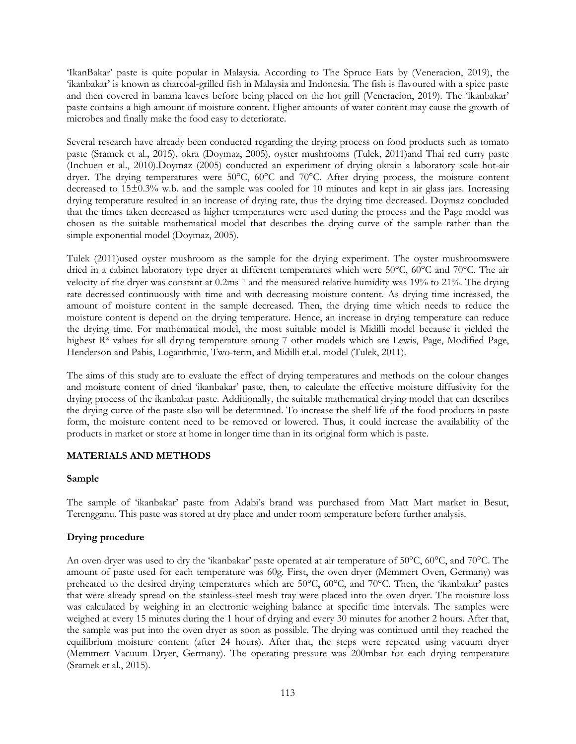'IkanBakar' paste is quite popular in Malaysia. According to The Spruce Eats by (Veneracion, 2019), the 'ikanbakar' is known as charcoal-grilled fish in Malaysia and Indonesia. The fish is flavoured with a spice paste and then covered in banana leaves before being placed on the hot grill (Veneracion, 2019). The 'ikanbakar' paste contains a high amount of moisture content. Higher amounts of water content may cause the growth of microbes and finally make the food easy to deteriorate.

Several research have already been conducted regarding the drying process on food products such as tomato paste (Sramek et al., 2015), okra (Doymaz, 2005), oyster mushrooms (Tulek, 2011)and Thai red curry paste (Inchuen et al., 2010).Doymaz (2005) conducted an experiment of drying okrain a laboratory scale hot-air dryer. The drying temperatures were 50°C, 60°C and 70°C. After drying process, the moisture content decreased to  $15\pm0.3\%$  w.b. and the sample was cooled for 10 minutes and kept in air glass jars. Increasing drying temperature resulted in an increase of drying rate, thus the drying time decreased. Doymaz concluded that the times taken decreased as higher temperatures were used during the process and the Page model was chosen as the suitable mathematical model that describes the drying curve of the sample rather than the simple exponential model (Doymaz, 2005).

Tulek (2011)used oyster mushroom as the sample for the drying experiment. The oyster mushroomswere dried in a cabinet laboratory type dryer at different temperatures which were 50°C, 60°C and 70°C. The air velocity of the dryer was constant at  $0.2 \text{ms}^{-1}$  and the measured relative humidity was 19% to 21%. The drying rate decreased continuously with time and with decreasing moisture content. As drying time increased, the amount of moisture content in the sample decreased. Then, the drying time which needs to reduce the moisture content is depend on the drying temperature. Hence, an increase in drying temperature can reduce the drying time. For mathematical model, the most suitable model is Midilli model because it yielded the highest R<sup>2</sup> values for all drying temperature among 7 other models which are Lewis, Page, Modified Page, Henderson and Pabis, Logarithmic, Two-term, and Midilli et.al. model (Tulek, 2011).

The aims of this study are to evaluate the effect of drying temperatures and methods on the colour changes and moisture content of dried 'ikanbakar' paste, then, to calculate the effective moisture diffusivity for the drying process of the ikanbakar paste. Additionally, the suitable mathematical drying model that can describes the drying curve of the paste also will be determined. To increase the shelf life of the food products in paste form, the moisture content need to be removed or lowered. Thus, it could increase the availability of the products in market or store at home in longer time than in its original form which is paste.

## **MATERIALS AND METHODS**

## **Sample**

The sample of 'ikanbakar' paste from Adabi's brand was purchased from Matt Mart market in Besut, Terengganu. This paste was stored at dry place and under room temperature before further analysis.

## **Drying procedure**

An oven dryer was used to dry the 'ikanbakar' paste operated at air temperature of 50°C, 60°C, and 70°C. The amount of paste used for each temperature was 60g. First, the oven dryer (Memmert Oven, Germany) was preheated to the desired drying temperatures which are 50°C, 60°C, and 70°C. Then, the 'ikanbakar' pastes that were already spread on the stainless-steel mesh tray were placed into the oven dryer. The moisture loss was calculated by weighing in an electronic weighing balance at specific time intervals. The samples were weighed at every 15 minutes during the 1 hour of drying and every 30 minutes for another 2 hours. After that, the sample was put into the oven dryer as soon as possible. The drying was continued until they reached the equilibrium moisture content (after 24 hours). After that, the steps were repeated using vacuum dryer (Memmert Vacuum Dryer, Germany). The operating pressure was 200mbar for each drying temperature (Sramek et al., 2015).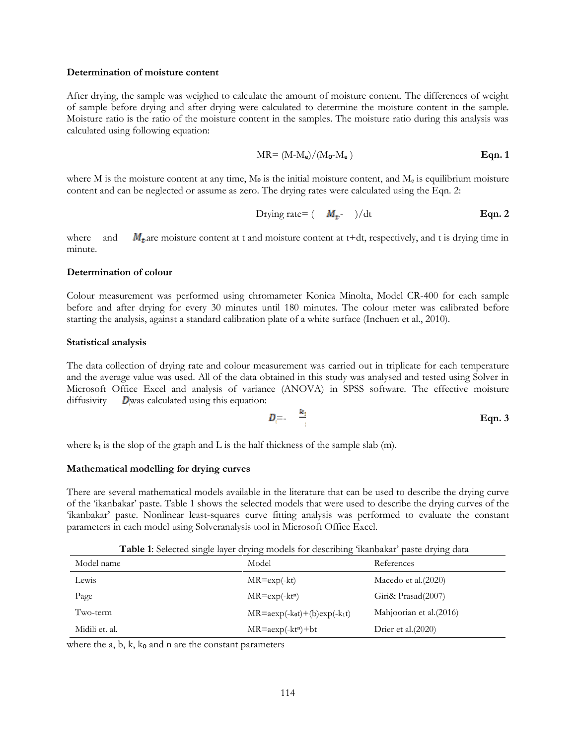### **Determination of moisture content**

After drying, the sample was weighed to calculate the amount of moisture content. The differences of weight of sample before drying and after drying were calculated to determine the moisture content in the sample. Moisture ratio is the ratio of the moisture content in the samples. The moisture ratio during this analysis was calculated using following equation:

$$
MR = (M - M_e)/(M_o - M_e)
$$
 Eqn. 1

where M is the moisture content at any time, Mo is the initial moisture content, and  $M_e$  is equilibrium moisture content and can be neglected or assume as zero. The drying rates were calculated using the Eqn. 2:

$$
Drying rate = (M_t - )/dt
$$
 Eqn. 2

where and  $M_t$  are moisture content at t and moisture content at t+dt, respectively, and t is drying time in minute.

#### **Determination of colour**

Colour measurement was performed using chromameter Konica Minolta, Model CR-400 for each sample before and after drying for every 30 minutes until 180 minutes. The colour meter was calibrated before starting the analysis, against a standard calibration plate of a white surface (Inchuen et al., 2010).

#### **Statistical analysis**

The data collection of drying rate and colour measurement was carried out in triplicate for each temperature and the average value was used. All of the data obtained in this study was analysed and tested using Solver in Microsoft Office Excel and analysis of variance (ANOVA) in SPSS software. The effective moisture diffusivity  $\bm{D}$  was calculated using this equation:

$$
D = -\frac{k_1}{4}
$$
 Eqn. 3

where  $k_1$  is the slop of the graph and L is the half thickness of the sample slab (m).

#### **Mathematical modelling for drying curves**

There are several mathematical models available in the literature that can be used to describe the drying curve of the 'ikanbakar' paste. Table 1 shows the selected models that were used to describe the drying curves of the 'ikanbakar' paste. Nonlinear least-squares curve fitting analysis was performed to evaluate the constant parameters in each model using Solveranalysis tool in Microsoft Office Excel.

**Table 1**: Selected single layer drying models for describing 'ikanbakar' paste drying data

| Model name     | Model                            | References              |
|----------------|----------------------------------|-------------------------|
| Lewis          | $MR = exp(-kt)$                  | Macedo et al. (2020)    |
| Page           | $MR = exp(-kt^n)$                | Giri& Prasad(2007)      |
| Two-term       | $MR = aexp(-kot) + (b)exp(-kot)$ | Mahjoorian et al.(2016) |
| Midili et. al. | $MR = a \exp(-kt^n) + bt$        | Drier et al. $(2020)$   |

where the  $a, b, k, k<sub>o</sub>$  and n are the constant parameters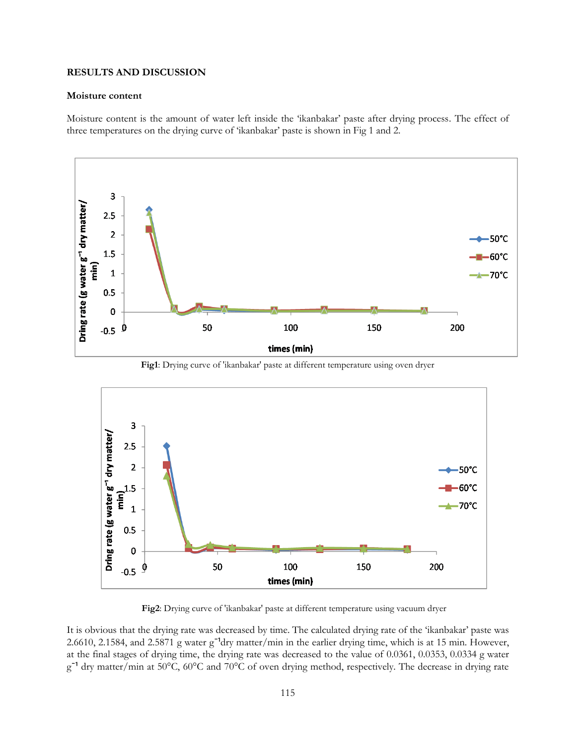### **RESULTS AND DISCUSSION**

### **Moisture content**

Moisture content is the amount of water left inside the 'ikanbakar' paste after drying process. The effect of three temperatures on the drying curve of 'ikanbakar' paste is shown in Fig 1 and 2.



**Fig1**: Drying curve of 'ikanbakar' paste at different temperature using oven dryer



**Fig2**: Drying curve of 'ikanbakar' paste at different temperature using vacuum dryer

It is obvious that the drying rate was decreased by time. The calculated drying rate of the 'ikanbakar' paste was 2.6610, 2.1584, and 2.5871 g water g<sup>-1</sup>dry matter/min in the earlier drying time, which is at 15 min. However, at the final stages of drying time, the drying rate was decreased to the value of 0.0361, 0.0353, 0.0334 g water g<sup>-1</sup> dry matter/min at 50°C, 60°C and 70°C of oven drying method, respectively. The decrease in drying rate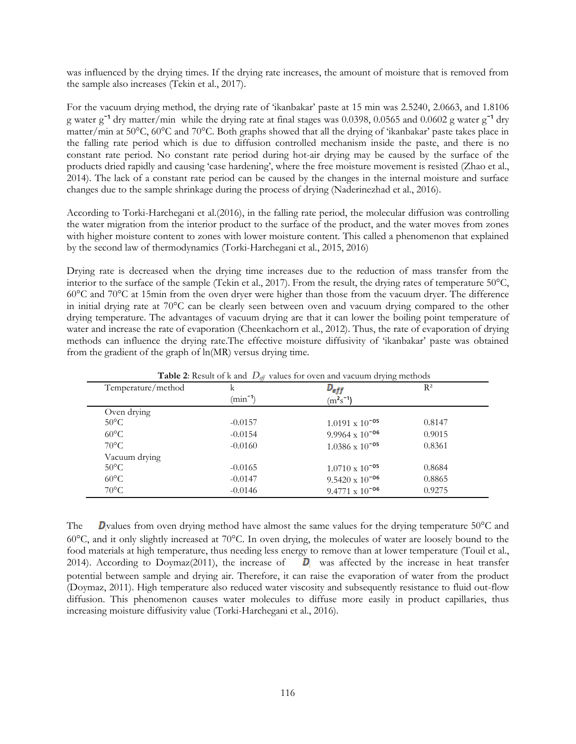was influenced by the drying times. If the drying rate increases, the amount of moisture that is removed from the sample also increases (Tekin et al., 2017).

For the vacuum drying method, the drying rate of 'ikanbakar' paste at 15 min was 2.5240, 2.0663, and 1.8106 g water g<sup>-1</sup> dry matter/min while the drying rate at final stages was 0.0398, 0.0565 and 0.0602 g water g<sup>-1</sup> dry matter/min at 50°C, 60°C and 70°C. Both graphs showed that all the drying of 'ikanbakar' paste takes place in the falling rate period which is due to diffusion controlled mechanism inside the paste, and there is no constant rate period. No constant rate period during hot-air drying may be caused by the surface of the products dried rapidly and causing 'case hardening', where the free moisture movement is resisted (Zhao et al., 2014). The lack of a constant rate period can be caused by the changes in the internal moisture and surface changes due to the sample shrinkage during the process of drying (Naderinezhad et al., 2016).

According to Torki-Harchegani et al.(2016), in the falling rate period, the molecular diffusion was controlling the water migration from the interior product to the surface of the product, and the water moves from zones with higher moisture content to zones with lower moisture content. This called a phenomenon that explained by the second law of thermodynamics (Torki-Harchegani et al., 2015, 2016)

Drying rate is decreased when the drying time increases due to the reduction of mass transfer from the interior to the surface of the sample (Tekin et al., 2017). From the result, the drying rates of temperature 50°C, 60°C and 70°C at 15min from the oven dryer were higher than those from the vacuum dryer. The difference in initial drying rate at 70°C can be clearly seen between oven and vacuum drying compared to the other drying temperature. The advantages of vacuum drying are that it can lower the boiling point temperature of water and increase the rate of evaporation (Cheenkachorn et al., 2012). Thus, the rate of evaporation of drying methods can influence the drying rate.The effective moisture diffusivity of 'ikanbakar' paste was obtained from the gradient of the graph of ln(MR) versus drying time.

| Temperature/method | k            | $D_{eff}$                | $R^2$  |
|--------------------|--------------|--------------------------|--------|
|                    | $(min^{-1})$ | $(m2s-1)$                |        |
| Oven drying        |              |                          |        |
| $50^{\circ}$ C     | $-0.0157$    | $1.0191 \times 10^{-05}$ | 0.8147 |
| $60^{\circ}$ C     | $-0.0154$    | $9.9964 \times 10^{-06}$ | 0.9015 |
| $70^{\circ}$ C     | $-0.0160$    | $1.0386 \times 10^{-05}$ | 0.8361 |
| Vacuum drying      |              |                          |        |
| $50^{\circ}$ C     | $-0.0165$    | $1.0710 \times 10^{-05}$ | 0.8684 |
| $60^{\circ}$ C     | $-0.0147$    | $9.5420 \times 10^{-06}$ | 0.8865 |
| $70^{\circ}$ C     | $-0.0146$    | $9.4771 \times 10^{-06}$ | 0.9275 |

The  $D_{\text{values}}$  from oven drying method have almost the same values for the drying temperature 50°C and 60°C, and it only slightly increased at 70°C. In oven drying, the molecules of water are loosely bound to the food materials at high temperature, thus needing less energy to remove than at lower temperature (Touil et al., 2014). According to Doymaz(2011), the increase of  $\quad$  D was affected by the increase in heat transfer potential between sample and drying air. Therefore, it can raise the evaporation of water from the product (Doymaz, 2011). High temperature also reduced water viscosity and subsequently resistance to fluid out-flow diffusion. This phenomenon causes water molecules to diffuse more easily in product capillaries, thus increasing moisture diffusivity value (Torki-Harchegani et al., 2016).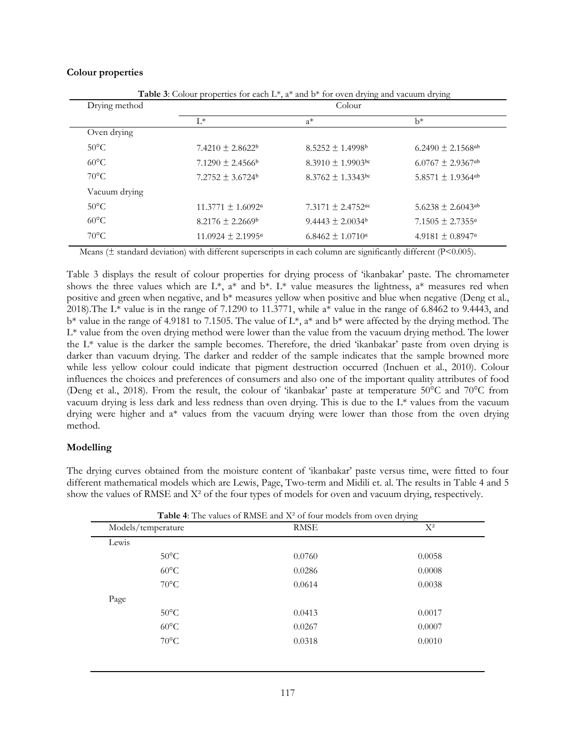### **Colour properties**

| Drying method  | Colour                            |                                   |                                   |
|----------------|-----------------------------------|-----------------------------------|-----------------------------------|
|                | $L^*$                             | $a^*$                             | $b^*$                             |
| Oven drying    |                                   |                                   |                                   |
| $50^{\circ}$ C | $7.4210 \pm 2.8622^b$             | $8.5252 \pm 1.4998$ <sup>b</sup>  | $6.2490 \pm 2.1568$ <sup>ab</sup> |
| $60^{\circ}$ C | $7.1290 \pm 2.4566^b$             | $8.3910 \pm 1.9903^{bc}$          | $6.0767 \pm 2.9367$ <sup>ab</sup> |
| $70^{\circ}$ C | $7.2752 \pm 3.6724$ <sup>b</sup>  | $8.3762 \pm 1.3343$ bc            | $5.8571 \pm 1.9364$ <sup>ab</sup> |
| Vacuum drying  |                                   |                                   |                                   |
| $50^{\circ}$ C | $11.3771 \pm 1.6092$ <sup>a</sup> | $7.3171 \pm 2.4752$ <sup>ac</sup> | $5.6238 \pm 2.6043$ <sup>ab</sup> |
| $60^{\circ}$ C | $8.2176 \pm 2.2669^{\circ}$       | $9.4443 \pm 2.0034^b$             | $7.1505 \pm 2.7355^{\alpha}$      |
| $70^{\circ}$ C | $11.0924 \pm 2.1995$ <sup>a</sup> | $6.8462 \pm 1.0710$ <sup>a</sup>  | $4.9181 \pm 0.8947$ <sup>a</sup>  |

**Table 3**: Colour properties for each L\*, a\* and b\* for oven drying and vacuum drying

Means ( $\pm$  standard deviation) with different superscripts in each column are significantly different (P<0.005).

Table 3 displays the result of colour properties for drying process of 'ikanbakar' paste. The chromameter shows the three values which are  $L^*$ ,  $a^*$  and  $b^*$ .  $L^*$  value measures the lightness,  $a^*$  measures red when positive and green when negative, and b\* measures yellow when positive and blue when negative (Deng et al., 2018). The  $L^*$  value is in the range of 7.1290 to 11.3771, while a\* value in the range of 6.8462 to 9.4443, and  $b^*$  value in the range of 4.9181 to 7.1505. The value of  $L^*$ , a<sup>\*</sup> and  $b^*$  were affected by the drying method. The  $L^*$  value from the oven drying method were lower than the value from the vacuum drying method. The lower the L\* value is the darker the sample becomes. Therefore, the dried 'ikanbakar' paste from oven drying is darker than vacuum drying. The darker and redder of the sample indicates that the sample browned more while less yellow colour could indicate that pigment destruction occurred (Inchuen et al., 2010). Colour influences the choices and preferences of consumers and also one of the important quality attributes of food (Deng et al., 2018). From the result, the colour of 'ikanbakar' paste at temperature 50°C and 70°C from vacuum drying is less dark and less redness than oven drying. This is due to the L\* values from the vacuum drying were higher and a\* values from the vacuum drying were lower than those from the oven drying method.

# **Modelling**

The drying curves obtained from the moisture content of 'ikanbakar' paste versus time, were fitted to four different mathematical models which are Lewis, Page, Two-term and Midili et. al. The results in Table 4 and 5 show the values of RMSE and  $X^2$  of the four types of models for oven and vacuum drying, respectively.

| Models/temperature |                | <b>RMSE</b> | $X^2$  |
|--------------------|----------------|-------------|--------|
| Lewis              |                |             |        |
|                    | $50^{\circ}$ C | 0.0760      | 0.0058 |
|                    | $60^{\circ}$ C | 0.0286      | 0.0008 |
|                    | $70^{\circ}$ C | 0.0614      | 0.0038 |
| Page               |                |             |        |
|                    | $50^{\circ}$ C | 0.0413      | 0.0017 |
|                    | $60^{\circ}$ C | 0.0267      | 0.0007 |
|                    | $70^{\circ}$ C | 0.0318      | 0.0010 |

Table 4: The values of RMSE and X<sup>2</sup> of four models from oven drying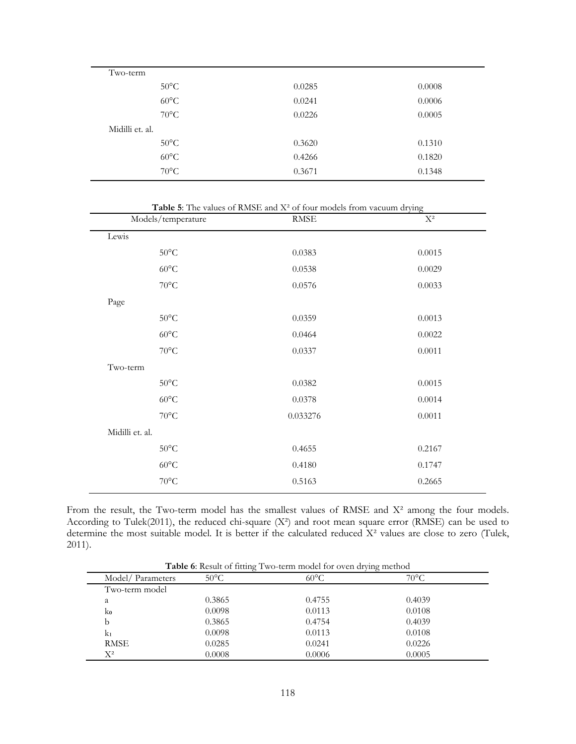| Two-term        |                |        |        |
|-----------------|----------------|--------|--------|
|                 | $50^{\circ}$ C | 0.0285 | 0.0008 |
|                 | $60^{\circ}$ C | 0.0241 | 0.0006 |
|                 | $70^{\circ}$ C | 0.0226 | 0.0005 |
| Midilli et. al. |                |        |        |
|                 | $50^{\circ}$ C | 0.3620 | 0.1310 |
|                 | $60^{\circ}$ C | 0.4266 | 0.1820 |
|                 | $70^{\circ}$ C | 0.3671 | 0.1348 |

Table 5: The values of RMSE and X<sup>2</sup> of four models from vacuum drying

| Models/temperature    | <b>RMSE</b> | $\mathbf{X}^2$ |
|-----------------------|-------------|----------------|
| Lewis                 |             |                |
| $50^{\circ}$ C        | 0.0383      | 0.0015         |
| $60^{\sf o}{\rm C}$   | 0.0538      | 0.0029         |
| $70^{\circ} \text{C}$ | 0.0576      | 0.0033         |
| Page                  |             |                |
| $50^{\circ} \text{C}$ | 0.0359      | 0.0013         |
| $60^{\circ}$ C        | 0.0464      | 0.0022         |
| $70^{\circ}$ C        | 0.0337      | $0.0011\,$     |
| Two-term              |             |                |
| $50^{\circ} \text{C}$ | 0.0382      | 0.0015         |
| $60^{\sf o}{\rm C}$   | 0.0378      | 0.0014         |
| $70^{\circ} \text{C}$ | 0.033276    | 0.0011         |
| Midilli et. al.       |             |                |
| $50^{\circ} \text{C}$ | 0.4655      | 0.2167         |
| $60^{\sf o}{\rm C}$   | 0.4180      | 0.1747         |
| $70^{\circ}$ C        | 0.5163      | 0.2665         |

From the result, the Two-term model has the smallest values of RMSE and X<sup>2</sup> among the four models. According to Tulek(2011), the reduced chi-square (X²) and root mean square error (RMSE) can be used to determine the most suitable model. It is better if the calculated reduced X² values are close to zero (Tulek, 2011).

| <b>Table 6:</b> Result of fitting Two-term model for oven drying method |                |                |                |  |
|-------------------------------------------------------------------------|----------------|----------------|----------------|--|
| Model/Parameters                                                        | $50^{\circ}$ C | $60^{\circ}$ C | $70^{\circ}$ C |  |
| Two-term model                                                          |                |                |                |  |
| a                                                                       | 0.3865         | 0.4755         | 0.4039         |  |
| ko                                                                      | 0.0098         | 0.0113         | 0.0108         |  |
| b                                                                       | 0.3865         | 0.4754         | 0.4039         |  |
| k1                                                                      | 0.0098         | 0.0113         | 0.0108         |  |
| <b>RMSE</b>                                                             | 0.0285         | 0.0241         | 0.0226         |  |
| $\mathrm{X}^2$                                                          | 0.0008         | 0.0006         | 0.0005         |  |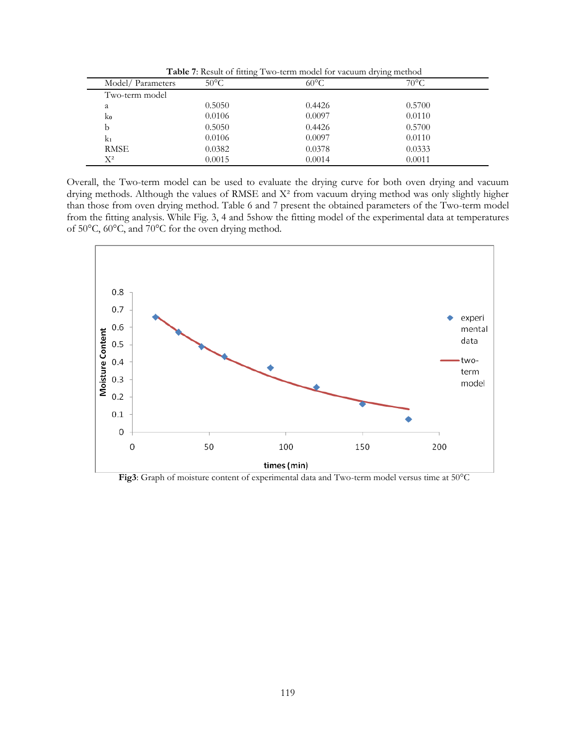**Table 7**: Result of fitting Two-term model for vacuum drying method

|                  | . .            |                | $\cdot$        |  |
|------------------|----------------|----------------|----------------|--|
| Model/Parameters | $50^{\circ}$ C | $60^{\circ}$ C | $70^{\circ}$ C |  |
| Two-term model   |                |                |                |  |
| a                | 0.5050         | 0.4426         | 0.5700         |  |
| ko               | 0.0106         | 0.0097         | 0.0110         |  |
| b                | 0.5050         | 0.4426         | 0.5700         |  |
| k1               | 0.0106         | 0.0097         | 0.0110         |  |
| RMSE             | 0.0382         | 0.0378         | 0.0333         |  |
| $\mathrm{X}^2$   | 0.0015         | 0.0014         | 0.0011         |  |
|                  |                |                |                |  |

Overall, the Two-term model can be used to evaluate the drying curve for both oven drying and vacuum drying methods. Although the values of RMSE and X² from vacuum drying method was only slightly higher than those from oven drying method. Table 6 and 7 present the obtained parameters of the Two-term model from the fitting analysis. While Fig. 3, 4 and 5show the fitting model of the experimental data at temperatures of 50°C, 60°C, and 70°C for the oven drying method.



**Fig3**: Graph of moisture content of experimental data and Two-term model versus time at 50°C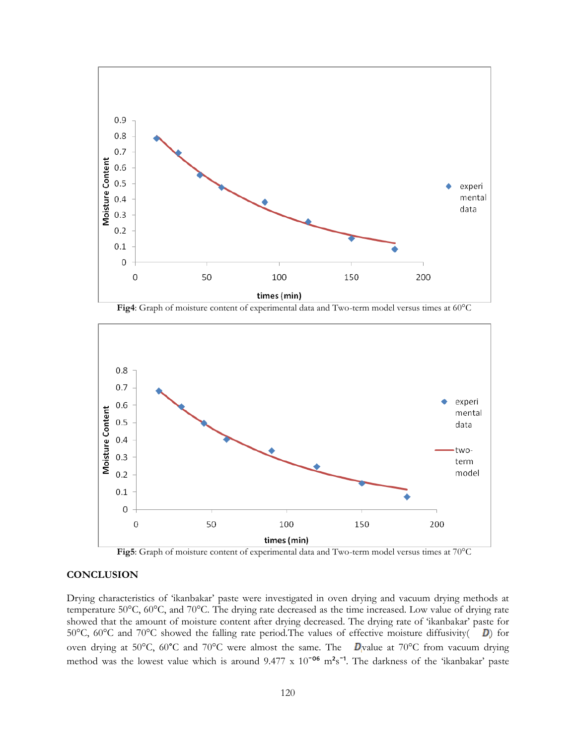

**Fig4**: Graph of moisture content of experimental data and Two-term model versus times at 60°C



**Fig5**: Graph of moisture content of experimental data and Two-term model versus times at 70°C

# **CONCLUSION**

Drying characteristics of 'ikanbakar' paste were investigated in oven drying and vacuum drying methods at temperature 50°C, 60°C, and 70°C. The drying rate decreased as the time increased. Low value of drying rate showed that the amount of moisture content after drying decreased. The drying rate of 'ikanbakar' paste for 50°C, 60°C and 70°C showed the falling rate period. The values of effective moisture diffusivity( $D$ ) for oven drying at 50°C, 60°C and 70°C were almost the same. The **D**yalue at 70°C from vacuum drying method was the lowest value which is around  $9.477 \times 10^{-06}$  m<sup>2</sup>s<sup>-1</sup>. The darkness of the 'ikanbakar' paste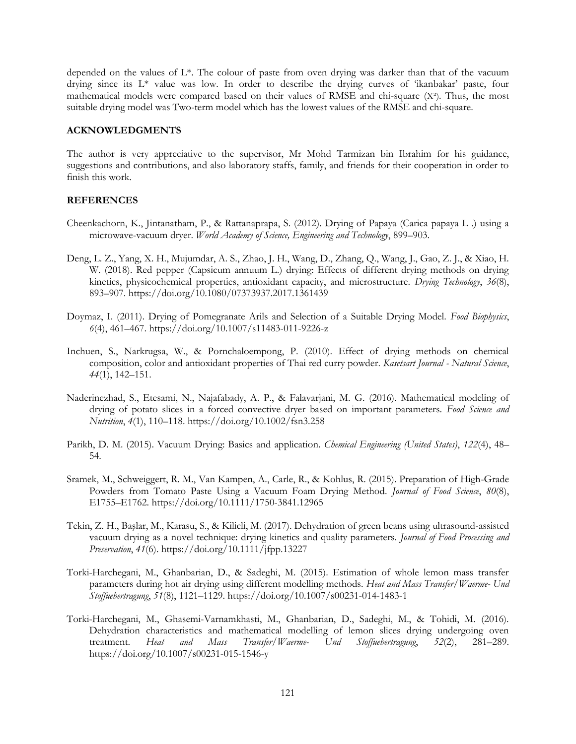depended on the values of L\*. The colour of paste from oven drying was darker than that of the vacuum drying since its L\* value was low. In order to describe the drying curves of 'ikanbakar' paste, four mathematical models were compared based on their values of RMSE and chi-square (X²). Thus, the most suitable drying model was Two-term model which has the lowest values of the RMSE and chi-square.

### **ACKNOWLEDGMENTS**

The author is very appreciative to the supervisor, Mr Mohd Tarmizan bin Ibrahim for his guidance, suggestions and contributions, and also laboratory staffs, family, and friends for their cooperation in order to finish this work.

### **REFERENCES**

- Cheenkachorn, K., Jintanatham, P., & Rattanaprapa, S. (2012). Drying of Papaya (Carica papaya L .) using a microwave-vacuum dryer. *World Academy of Science, Engineering and Technology*, 899–903.
- Deng, L. Z., Yang, X. H., Mujumdar, A. S., Zhao, J. H., Wang, D., Zhang, Q., Wang, J., Gao, Z. J., & Xiao, H. W. (2018). Red pepper (Capsicum annuum L.) drying: Effects of different drying methods on drying kinetics, physicochemical properties, antioxidant capacity, and microstructure. *Drying Technology*, *36*(8), 893–907. https://doi.org/10.1080/07373937.2017.1361439
- Doymaz, I. (2011). Drying of Pomegranate Arils and Selection of a Suitable Drying Model. *Food Biophysics*, *6*(4), 461–467. https://doi.org/10.1007/s11483-011-9226-z
- Inchuen, S., Narkrugsa, W., & Pornchaloempong, P. (2010). Effect of drying methods on chemical composition, color and antioxidant properties of Thai red curry powder. *Kasetsart Journal - Natural Science*, *44*(1), 142–151.
- Naderinezhad, S., Etesami, N., Najafabady, A. P., & Falavarjani, M. G. (2016). Mathematical modeling of drying of potato slices in a forced convective dryer based on important parameters. *Food Science and Nutrition*, *4*(1), 110–118. https://doi.org/10.1002/fsn3.258
- Parikh, D. M. (2015). Vacuum Drying: Basics and application. *Chemical Engineering (United States)*, *122*(4), 48– 54.
- Sramek, M., Schweiggert, R. M., Van Kampen, A., Carle, R., & Kohlus, R. (2015). Preparation of High-Grade Powders from Tomato Paste Using a Vacuum Foam Drying Method. *Journal of Food Science*, *80*(8), E1755–E1762. https://doi.org/10.1111/1750-3841.12965
- Tekin, Z. H., Başlar, M., Karasu, S., & Kilicli, M. (2017). Dehydration of green beans using ultrasound-assisted vacuum drying as a novel technique: drying kinetics and quality parameters. *Journal of Food Processing and Preservation*, *41*(6). https://doi.org/10.1111/jfpp.13227
- Torki-Harchegani, M., Ghanbarian, D., & Sadeghi, M. (2015). Estimation of whole lemon mass transfer parameters during hot air drying using different modelling methods. *Heat and Mass Transfer/Waerme- Und Stoffuebertragung*, *51*(8), 1121–1129. https://doi.org/10.1007/s00231-014-1483-1
- Torki-Harchegani, M., Ghasemi-Varnamkhasti, M., Ghanbarian, D., Sadeghi, M., & Tohidi, M. (2016). Dehydration characteristics and mathematical modelling of lemon slices drying undergoing oven treatment. *Heat and Mass Transfer/Waerme- Und Stoffuebertragung*, *52*(2), 281–289. https://doi.org/10.1007/s00231-015-1546-y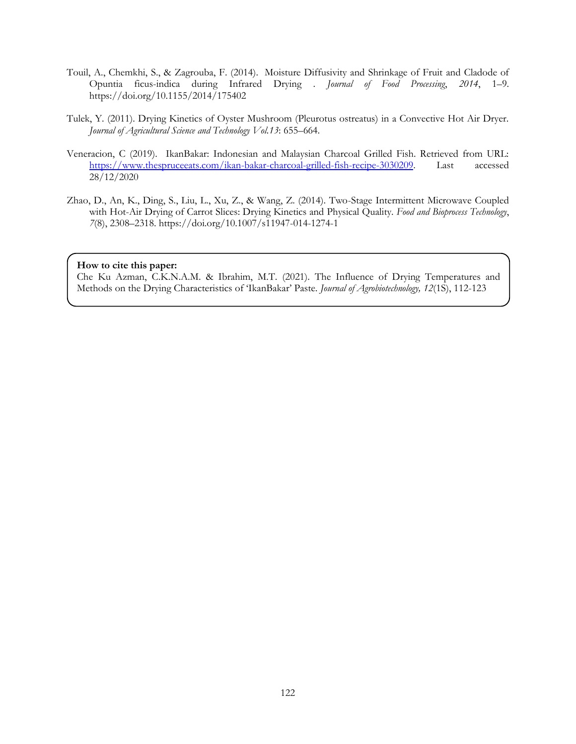- Touil, A., Chemkhi, S., & Zagrouba, F. (2014). Moisture Diffusivity and Shrinkage of Fruit and Cladode of Opuntia ficus-indica during Infrared Drying . *Journal of Food Processing*, *2014*, 1–9. https://doi.org/10.1155/2014/175402
- Tulek, Y. (2011). Drying Kinetics of Oyster Mushroom (Pleurotus ostreatus) in a Convective Hot Air Dryer. *Journal of Agricultural Science and Technology Vol.13*: 655–664.
- Veneracion, C (2019). IkanBakar: Indonesian and Malaysian Charcoal Grilled Fish. Retrieved from URL: [https://www.thespruceeats.com/ikan-bakar-charcoal-grilled-fish-recipe-3030209.](https://www.thespruceeats.com/ikan-bakar-charcoal-grilled-fish-recipe-3030209) Last accessed 28/12/2020
- Zhao, D., An, K., Ding, S., Liu, L., Xu, Z., & Wang, Z. (2014). Two-Stage Intermittent Microwave Coupled with Hot-Air Drying of Carrot Slices: Drying Kinetics and Physical Quality. *Food and Bioprocess Technology*, *7*(8), 2308–2318. https://doi.org/10.1007/s11947-014-1274-1

### **How to cite this paper:**

Che Ku Azman, C.K.N.A.M. & Ibrahim, M.T. (2021). The Influence of Drying Temperatures and Methods on the Drying Characteristics of 'IkanBakar' Paste*. Journal of Agrobiotechnology, 12*(1S), 112-123